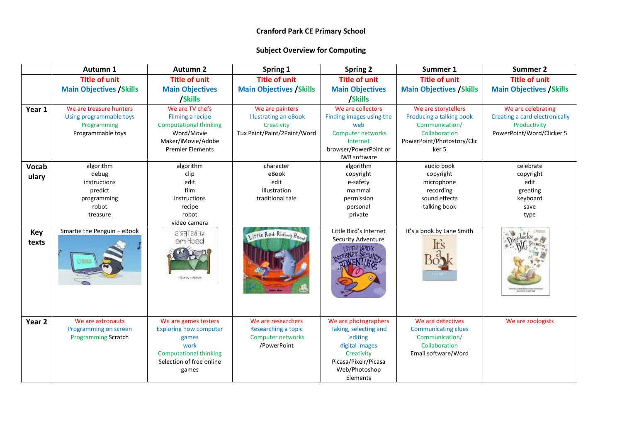|                   | Autumn 1                                                                               | <b>Autumn 2</b>                                                                                                                              | Spring 1                                                                                     | <b>Spring 2</b>                                                                                                                               | Summer 1                                                                                                                  | <b>Summer 2</b>                                                                                   |
|-------------------|----------------------------------------------------------------------------------------|----------------------------------------------------------------------------------------------------------------------------------------------|----------------------------------------------------------------------------------------------|-----------------------------------------------------------------------------------------------------------------------------------------------|---------------------------------------------------------------------------------------------------------------------------|---------------------------------------------------------------------------------------------------|
|                   | <b>Title of unit</b>                                                                   | <b>Title of unit</b>                                                                                                                         | <b>Title of unit</b>                                                                         | <b>Title of unit</b>                                                                                                                          | <b>Title of unit</b>                                                                                                      | <b>Title of unit</b>                                                                              |
|                   | <b>Main Objectives / Skills</b>                                                        | <b>Main Objectives</b>                                                                                                                       | <b>Main Objectives / Skills</b>                                                              | <b>Main Objectives</b>                                                                                                                        | <b>Main Objectives / Skills</b>                                                                                           | <b>Main Objectives / Skills</b>                                                                   |
|                   |                                                                                        | /Skills                                                                                                                                      |                                                                                              | /Skills                                                                                                                                       |                                                                                                                           |                                                                                                   |
| Year 1            | We are treasure hunters<br>Using programmable toys<br>Programming<br>Programmable toys | We are TV chefs<br>Filming a recipe<br><b>Computational thinking</b><br>Word/Movie<br>Maker/iMovie/Adobe<br><b>Premier Elements</b>          | We are painters<br><b>Illustrating an eBook</b><br>Creativity<br>Tux Paint/Paint/2Paint/Word | We are collectors<br>Finding images using the<br>web<br><b>Computer networks</b><br>Internet<br>browser/PowerPoint or<br>IWB software         | We are storytellers<br>Producing a talking book<br>Communication/<br>Collaboration<br>PowerPoint/Photostory/Clic<br>ker 5 | We are celebrating<br>Creating a card electronically<br>Productivity<br>PowerPoint/Word/Clicker 5 |
| Vocab             | algorithm                                                                              | algorithm                                                                                                                                    | character                                                                                    | algorithm                                                                                                                                     | audio book                                                                                                                | celebrate                                                                                         |
| ulary             | debug                                                                                  | clip                                                                                                                                         | eBook                                                                                        | copyright                                                                                                                                     | copyright                                                                                                                 | copyright                                                                                         |
|                   | instructions                                                                           | edit                                                                                                                                         | edit                                                                                         | e-safety                                                                                                                                      | microphone                                                                                                                | edit                                                                                              |
|                   | predict                                                                                | film                                                                                                                                         | illustration                                                                                 | mammal                                                                                                                                        | recording                                                                                                                 | greeting                                                                                          |
|                   | programming                                                                            | instructions                                                                                                                                 | traditional tale                                                                             | permission                                                                                                                                    | sound effects                                                                                                             | keyboard                                                                                          |
|                   | robot                                                                                  | recipe                                                                                                                                       |                                                                                              | personal                                                                                                                                      | talking book                                                                                                              | save                                                                                              |
|                   | treasure                                                                               | robot<br>video camera                                                                                                                        |                                                                                              | private                                                                                                                                       |                                                                                                                           | type                                                                                              |
| Key<br>texts      | Smartie the Penguin - eBook                                                            | <b>WEBSTER'S</b><br>em hed<br>SEEN 1999/01                                                                                                   | Little Red Riding Hood                                                                       | Little Bird's Internet<br>Security Adventure                                                                                                  | It's a book by Lane Smith                                                                                                 |                                                                                                   |
| Year <sub>2</sub> | We are astronauts<br>Programming on screen<br><b>Programming Scratch</b>               | We are games testers<br><b>Exploring how computer</b><br>games<br>work<br><b>Computational thinking</b><br>Selection of free online<br>games | We are researchers<br>Researching a topic<br><b>Computer networks</b><br>/PowerPoint         | We are photographers<br>Taking, selecting and<br>editing<br>digital images<br>Creativity<br>Picasa/Pixelr/Picasa<br>Web/Photoshop<br>Elements | We are detectives<br><b>Communicating clues</b><br>Communication/<br>Collaboration<br>Email software/Word                 | We are zoologists                                                                                 |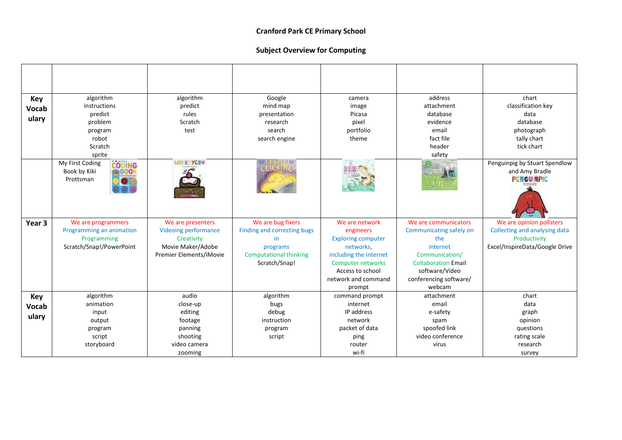| Key          | algorithm                                                      | algorithm                   | Google                        | camera                                       | address                                      | chart                                                                |
|--------------|----------------------------------------------------------------|-----------------------------|-------------------------------|----------------------------------------------|----------------------------------------------|----------------------------------------------------------------------|
| <b>Vocab</b> | instructions                                                   | predict                     | mind map                      | image                                        | attachment                                   | classification key                                                   |
| ulary        | predict                                                        | rules                       | presentation                  | Picasa                                       | database                                     | data                                                                 |
|              | problem                                                        | Scratch<br>test             | research                      | pixel<br>portfolio                           | evidence<br>email                            | database                                                             |
|              | program<br>robot                                               |                             | search                        | theme                                        | fact file                                    | photograph                                                           |
|              | Scratch                                                        |                             | search engine                 |                                              | header                                       | tally chart<br>tick chart                                            |
|              | sprite                                                         |                             |                               |                                              | safety                                       |                                                                      |
|              | CODING<br>My First Coding<br>Book by Kiki<br>eroo<br>Prottsman | <b>VIEW KEYCOW</b>          | SED 美田芭奈 (上端)<br>GECKING      |                                              |                                              | Penguinpig by Stuart Spendlow<br>and Amy Bradle<br><b>PENGUINPIG</b> |
| Year 3       | We are programmers                                             | We are presenters           | We are bug fixers             | We are network                               | We are communicators                         | We are opinion pollsters                                             |
|              | Programming an animation                                       | <b>Videoing performance</b> | Finding and correcting bugs   | engineers                                    | Communicating safely on                      | Collecting and analysing data                                        |
|              | Programming                                                    | Creativity                  | in                            | <b>Exploring computer</b>                    | the                                          | Productivity                                                         |
|              | Scratch/Snap!/PowerPoint                                       | Movie Maker/Adobe           | programs                      | networks,                                    | internet                                     | Excel/InspireData/Google Drive                                       |
|              |                                                                | Premier Elements/iMovie     | <b>Computational thinking</b> | including the internet                       | Communication/                               |                                                                      |
|              |                                                                |                             | Scratch/Snap!                 | <b>Computer networks</b><br>Access to school | <b>Collaboration Email</b><br>software/Video |                                                                      |
|              |                                                                |                             |                               | network and command                          | conferencing software/                       |                                                                      |
|              |                                                                |                             |                               | prompt                                       | webcam                                       |                                                                      |
| <b>Key</b>   | algorithm                                                      | audio                       | algorithm                     | command prompt                               | attachment                                   | chart                                                                |
| Vocab        | animation                                                      | close-up                    | bugs                          | internet                                     | email                                        | data                                                                 |
|              | input                                                          | editing                     | debug                         | IP address                                   | e-safety                                     | graph                                                                |
| ulary        | output                                                         | footage                     | instruction                   | network                                      | spam                                         | opinion                                                              |
|              | program                                                        | panning                     | program                       | packet of data                               | spoofed link                                 | questions                                                            |
|              | script                                                         | shooting                    | script                        | ping                                         | video conference                             | rating scale                                                         |
|              | storyboard                                                     | video camera                |                               | router                                       | virus                                        | research                                                             |
|              |                                                                | zooming                     |                               | wi-fi                                        |                                              | survey                                                               |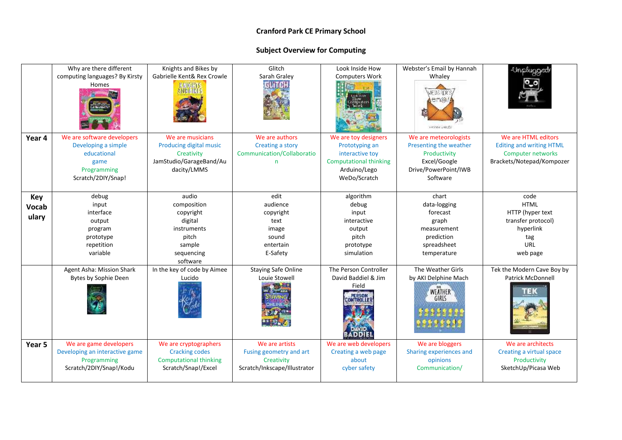|                              | Why are there different<br>computing languages? By Kirsty<br>Homes                                            | Knights and Bikes by<br>Gabrielle Kent& Rex Crowle                                                       | Glitch<br>Sarah Graley<br><b>GLITCH</b>                                                 | Look Inside How<br><b>Computers Work</b>                                                                                   | Webster's Email by Hannah<br>Whaley<br>enol<br><b>HANNA WALE</b>                                                    | Inplugged                                                                                                |
|------------------------------|---------------------------------------------------------------------------------------------------------------|----------------------------------------------------------------------------------------------------------|-----------------------------------------------------------------------------------------|----------------------------------------------------------------------------------------------------------------------------|---------------------------------------------------------------------------------------------------------------------|----------------------------------------------------------------------------------------------------------|
| Year 4                       | We are software developers<br>Developing a simple<br>educational<br>game<br>Programming<br>Scratch/2DIY/Snap! | We are musicians<br>Producing digital music<br>Creativity<br>JamStudio/GarageBand/Au<br>dacity/LMMS      | We are authors<br>Creating a story<br>Communication/Collaboratio<br>n                   | We are toy designers<br>Prototyping an<br>interactive toy<br><b>Computational thinking</b><br>Arduino/Lego<br>WeDo/Scratch | We are meteorologists<br>Presenting the weather<br>Productivity<br>Excel/Google<br>Drive/PowerPoint/IWB<br>Software | We are HTML editors<br><b>Editing and writing HTML</b><br>Computer networks<br>Brackets/Notepad/Kompozer |
| Key<br><b>Vocab</b><br>ulary | debug<br>input<br>interface<br>output<br>program<br>prototype<br>repetition<br>variable                       | audio<br>composition<br>copyright<br>digital<br>instruments<br>pitch<br>sample<br>sequencing<br>software | edit<br>audience<br>copyright<br>text<br>image<br>sound<br>entertain<br>E-Safety        | algorithm<br>debug<br>input<br>interactive<br>output<br>pitch<br>prototype<br>simulation                                   | chart<br>data-logging<br>forecast<br>graph<br>measurement<br>prediction<br>spreadsheet<br>temperature               | code<br><b>HTML</b><br>HTTP (hyper text<br>transfer protocol)<br>hyperlink<br>tag<br>URL<br>web page     |
|                              | Agent Asha: Mission Shark<br>Bytes by Sophie Deen                                                             | In the key of code by Aimee<br>Lucido                                                                    | <b>Staying Safe Online</b><br>Louie Stowell                                             | The Person Controller<br>David Baddiel & Jim<br>Field<br>NTROLI                                                            | The Weather Girls<br>by AKI Delphine Mach<br><b>WEATHER</b><br>GIRLS                                                | Tek the Modern Cave Boy by<br><b>Patrick McDonnell</b><br>TEK                                            |
| Year 5                       | We are game developers<br>Developing an interactive game<br>Programming<br>Scratch/2DIY/Snap!/Kodu            | We are cryptographers<br><b>Cracking codes</b><br><b>Computational thinking</b><br>Scratch/Snap!/Excel   | We are artists<br>Fusing geometry and art<br>Creativity<br>Scratch/Inkscape/Illustrator | We are web developers<br>Creating a web page<br>about<br>cyber safety                                                      | We are bloggers<br>Sharing experiences and<br>opinions<br>Communication/                                            | We are architects<br>Creating a virtual space<br>Productivity<br>SketchUp/Picasa Web                     |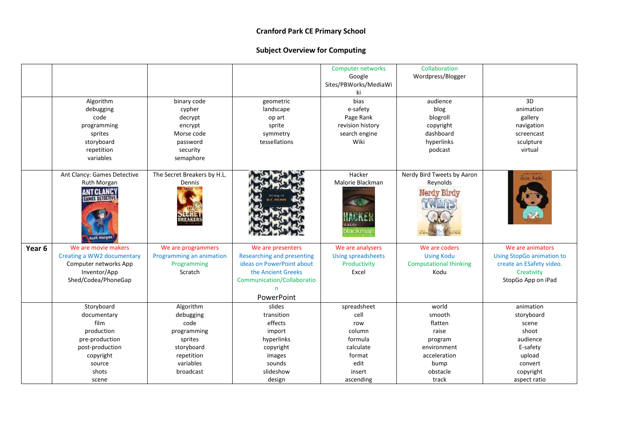|                   |                                                            |                             |                                   | Computer networks<br>Google<br>Sites/PBWorks/MediaWi<br>ki | Collaboration<br>Wordpress/Blogger |                                  |
|-------------------|------------------------------------------------------------|-----------------------------|-----------------------------------|------------------------------------------------------------|------------------------------------|----------------------------------|
|                   | Algorithm                                                  | binary code                 | geometric                         | bias                                                       | audience                           | 3D                               |
|                   | debugging                                                  | cypher                      | landscape                         | e-safety                                                   | blog                               | animation                        |
|                   | code                                                       | decrypt                     | op art                            | Page Rank                                                  | blogroll                           | gallery                          |
|                   | programming                                                | encrypt                     | sprite                            | revision history                                           | copyright                          | navigation                       |
|                   | sprites                                                    | Morse code                  | symmetry                          | search engine                                              | dashboard                          | screencast                       |
|                   | storyboard                                                 | password                    | tessellations                     | Wiki                                                       | hyperlinks                         | sculpture                        |
|                   | repetition                                                 | security                    |                                   |                                                            | podcast                            | virtual                          |
|                   | variables                                                  | semaphore                   |                                   |                                                            |                                    |                                  |
|                   | Ant Clancy: Games Detective                                | The Secret Breakers by H.L. |                                   | Hacker                                                     | Nerdy Bird Tweets by Aaron         | Four Hadet                       |
|                   | Ruth Morgan                                                | Dennis                      |                                   | Malorie Blackman                                           | Reynolds                           |                                  |
|                   | <b>ANT CLANCY</b><br>GANES DETECTIVE<br><b>Buth Morgan</b> |                             |                                   | materia<br>blackmar                                        | Nerdy Birdy                        |                                  |
| Year <sub>6</sub> | We are movie makers                                        | We are programmers          | We are presenters                 | We are analysers                                           | We are coders                      | We are animators                 |
|                   | Creating a WW2 documentary                                 | Programming an animation    | <b>Researching and presenting</b> | <b>Using spreadsheets</b>                                  | <b>Using Kodu</b>                  | <b>Using StopGo animation to</b> |
|                   | Computer networks App                                      | Programming                 | ideas on PowerPoint about         | Productivity                                               | <b>Computational thinking</b>      | create an ESafety video.         |
|                   | Inventor/App                                               | Scratch                     | the Ancient Greeks                | Excel                                                      | Kodu                               | Creativity                       |
|                   | Shed/Codea/PhoneGap                                        |                             | Communication/Collaboratio        |                                                            |                                    | StopGo App on iPad               |
|                   |                                                            |                             | n                                 |                                                            |                                    |                                  |
|                   |                                                            |                             | PowerPoint                        |                                                            |                                    |                                  |
|                   | Storyboard                                                 | Algorithm                   | slides                            | spreadsheet                                                | world                              | animation                        |
|                   | documentary                                                | debugging                   | transition                        | cell                                                       | smooth                             | storyboard                       |
|                   | film                                                       | code                        | effects                           | row                                                        | flatten                            | scene                            |
|                   | production                                                 | programming                 | import                            | column                                                     | raise                              | shoot                            |
|                   | pre-production                                             | sprites                     | hyperlinks                        | formula                                                    | program                            | audience                         |
|                   | post-production                                            | storyboard                  | copyright                         | calculate                                                  | environment                        | E-safety                         |
|                   | copyright                                                  | repetition                  | images                            | format                                                     | acceleration                       | upload                           |
|                   | source                                                     | variables                   | sounds                            | edit                                                       | bump                               | convert                          |
|                   | shots                                                      | broadcast                   | slideshow                         | insert                                                     | obstacle                           | copyright                        |
|                   | scene                                                      |                             | design                            | ascending                                                  | track                              | aspect ratio                     |